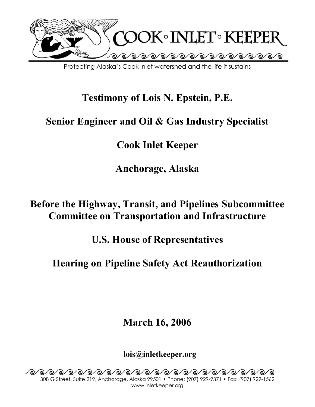

Protecting Alaska's Cook Inlet watershed and the life it sustains

# **Testimony of Lois N. Epstein, P.E.**

# **Senior Engineer and Oil & Gas Industry Specialist**

**Cook Inlet Keeper** 

**Anchorage, Alaska** 

## **Before the Highway, Transit, and Pipelines Subcommittee Committee on Transportation and Infrastructure**

**U.S. House of Representatives** 

**Hearing on Pipeline Safety Act Reauthorization** 

**March 16, 2006**

**lois@inletkeeper.org**

^®^®^®^®^®^®^®^®^®^®^®^®^®^®^®^®^® 308 G Street, Suite 219, Anchorage, Alaska 99501 • Phone: (907) 929-9371 • Fax: (907) 929-1562 www.inletkeeper.org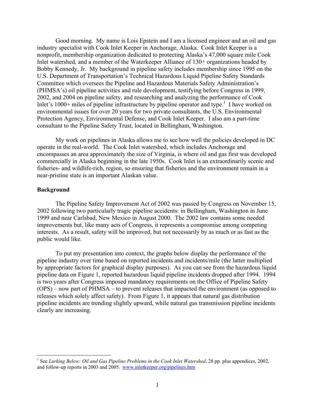Good morning. My name is Lois Epstein and I am a licensed engineer and an oil and gas industry specialist with Cook Inlet Keeper in Anchorage, Alaska. Cook Inlet Keeper is a nonprofit, membership organization dedicated to protecting Alaska's 47,000 square mile Cook Inlet watershed, and a member of the Waterkeeper Alliance of 130+ organizations headed by Bobby Kennedy, Jr. My background in pipeline safety includes membership since 1995 on the U.S. Department of Transportation's Technical Hazardous Liquid Pipeline Safety Standards Committee which oversees the Pipeline and Hazardous Materials Safety Administration's (PHMSA's) oil pipeline activities and rule development, testifying before Congress in 1999, 2002, and 2004 on pipeline safety, and researching and analyzing the performance of Cook Inlet's  $1000+$  miles of pipeline infrastructure by pipeline operator and type.<sup>1</sup> I have worked on environmental issues for over 20 years for two private consultants, the U.S. Environmental Protection Agency, Environmental Defense, and Cook Inlet Keeper. I also am a part-time consultant to the Pipeline Safety Trust, located in Bellingham, Washington.

My work on pipelines in Alaska allows me to see how well the policies developed in DC operate in the real-world. The Cook Inlet watershed, which includes Anchorage and encompasses an area approximately the size of Virginia, is where oil and gas first was developed commercially in Alaska beginning in the late 1950s. Cook Inlet is an extraordinarily scenic and fisheries- and wildlife-rich, region, so ensuring that fisheries and the environment remain in a near-pristine state is an important Alaskan value.

#### **Background**

The Pipeline Safety Improvement Act of 2002 was passed by Congress on November 15, 2002 following two particularly tragic pipeline accidents: in Bellingham, Washington in June 1999 and near Carlsbad, New Mexico in August 2000. The 2002 law contains some needed improvements but, like many acts of Congress, it represents a compromise among competing interests. As a result, safety will be improved, but not necessarily by as much or as fast as the public would like.

 To put my presentation into context, the graphs below display the performance of the pipeline industry over time based on reported incidents and incidents/mile (the latter multiplied by appropriate factors for graphical display purposes). As you can see from the hazardous liquid pipeline data on Figure 1, reported hazardous liquid pipeline incidents dropped after 1994. 1994 is two years after Congress imposed mandatory requirements on the Office of Pipeline Safety (OPS) – now part of PHMSA – to prevent releases that impacted the environment (as opposed to releases which solely affect safety). From Figure 1, it appears that natural gas distribution pipeline incidents are trending slightly upward, while natural gas transmission pipeline incidents clearly are increasing.

 1 See *Lurking Below: Oil and Gas Pipeline Problems in the Cook Inlet Watershed*, 28 pp. plus appendices, 2002, and follow-up reports in 2003 and 2005. www.inletkeeper.org/pipelines.htm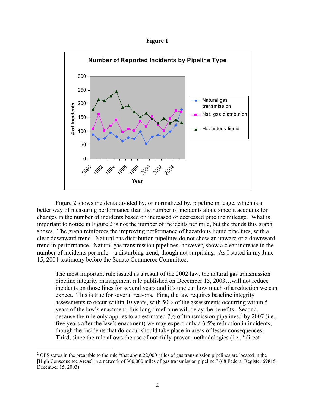**Figure 1** 



Figure 2 shows incidents divided by, or normalized by, pipeline mileage, which is a better way of measuring performance than the number of incidents alone since it accounts for changes in the number of incidents based on increased or decreased pipeline mileage. What is important to notice in Figure 2 is not the number of incidents per mile, but the trends this graph shows. The graph reinforces the improving performance of hazardous liquid pipelines, with a clear downward trend. Natural gas distribution pipelines do not show an upward or a downward trend in performance. Natural gas transmission pipelines, however, show a clear increase in the number of incidents per mile – a disturbing trend, though not surprising. As I stated in my June 15, 2004 testimony before the Senate Commerce Committee,

The most important rule issued as a result of the 2002 law, the natural gas transmission pipeline integrity management rule published on December 15, 2003…will not reduce incidents on those lines for several years and it's unclear how much of a reduction we can expect. This is true for several reasons. First, the law requires baseline integrity assessments to occur within 10 years, with 50% of the assessments occurring within 5 years of the law's enactment; this long timeframe will delay the benefits. Second, because the rule only applies to an estimated  $7\%$  of transmission pipelines,  $\frac{2}{3}$  by 2007 (i.e., five years after the law's enactment) we may expect only a 3.5% reduction in incidents, though the incidents that do occur should take place in areas of lesser consequences. Third, since the rule allows the use of not-fully-proven methodologies (i.e., "direct

 $2$  OPS states in the preamble to the rule "that about 22,000 miles of gas transmission pipelines are located in the [High Consequence Areas] in a network of 300,000 miles of gas transmission pipeline." (68 Federal Register 69815, December 15, 2003)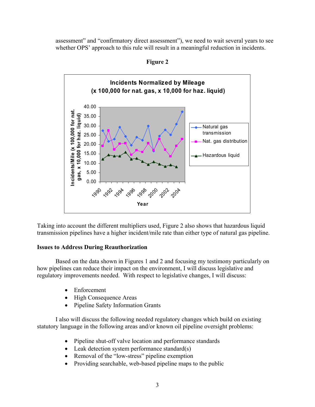assessment" and "confirmatory direct assessment"), we need to wait several years to see whether OPS' approach to this rule will result in a meaningful reduction in incidents.

**Incidents Normalized by Mileage (x 100,000 for nat. gas, x 10,000 for haz. liquid)** 40.00 **Incidents/Mile (x 100,000 for nat.**  ncidents/Mile (x 100,000 for nat gas, x 10,000 for haz. liquid) 35.00 **gas, x 10,000 for haz. liquid)** 30.00 Natural gas transmission 25.00 Nat. gas distribution 20.00 15.00 - Hazardous liquid 10.00 5.00 0.00 1992 1998 1990 199<sup>4</sup> 1996 200 200 200 **Year**

**Figure 2** 

Taking into account the different multipliers used, Figure 2 also shows that hazardous liquid transmission pipelines have a higher incident/mile rate than either type of natural gas pipeline.

#### **Issues to Address During Reauthorization**

Based on the data shown in Figures 1 and 2 and focusing my testimony particularly on how pipelines can reduce their impact on the environment, I will discuss legislative and regulatory improvements needed. With respect to legislative changes, I will discuss:

- Enforcement
- High Consequence Areas
- Pipeline Safety Information Grants

I also will discuss the following needed regulatory changes which build on existing statutory language in the following areas and/or known oil pipeline oversight problems:

- Pipeline shut-off valve location and performance standards
- Leak detection system performance standard(s)
- Removal of the "low-stress" pipeline exemption
- Providing searchable, web-based pipeline maps to the public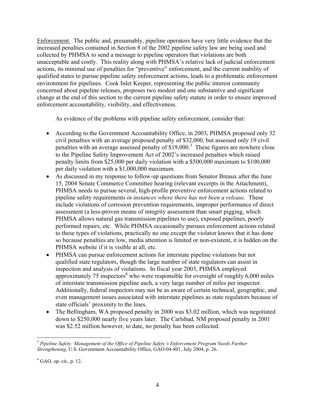Enforcement. The public and, presumably, pipeline operators have very little evidence that the increased penalties contained in Section 8 of the 2002 pipeline safety law are being used and collected by PHMSA to send a message to pipeline operators that violations are both unacceptable and costly. This reality along with PHMSA's relative lack of judicial enforcement actions, its minimal use of penalties for "preventive" enforcement, and the current inability of qualified states to pursue pipeline safety enforcement actions, leads to a problematic enforcement environment for pipelines. Cook Inlet Keeper, representing the public interest community concerned about pipeline releases, proposes two modest and one substantive and significant change at the end of this section to the current pipeline safety statute in order to ensure improved enforcement accountability, visibility, and effectiveness.

As evidence of the problems with pipeline safety enforcement, consider that:

- According to the Government Accountability Office, in 2003, PHMSA proposed only 32 civil penalties with an average proposed penalty of \$32,000, but assessed only 19 civil penalties with an average assessed penalty of  $$19,000$ .<sup>3</sup> These figures are nowhere close to the Pipeline Safety Improvement Act of 2002's increased penalties which raised penalty limits from \$25,000 per daily violation with a \$500,000 maximum to \$100,000 per daily violation with a \$1,000,000 maximum.
- As discussed in my response to follow-up questions from Senator Breaux after the June 15, 2004 Senate Commerce Committee hearing (relevant excerpts in the Attachment), PHMSA needs to pursue several, high-profile preventive enforcement actions related to pipeline safety requirements *in instances where there has not been a release*. These include violations of corrosion prevention requirements, improper performance of direct assessment (a less-proven means of integrity assessment than smart pigging, which PHMSA allows natural gas transmission pipelines to use), exposed pipelines, poorly performed repairs, etc. While PHMSA occasionally pursues enforcement actions related to these types of violations, practically no one except the violator knows that it has done so because penalties are low, media attention is limited or non-existent, it is hidden on the PHMSA website if it is visible at all, etc.
- PHMSA can pursue enforcement actions for interstate pipeline violations but not qualified state regulators, though the large number of state regulators can assist in inspection and analysis of violations. In fiscal year 2003, PHMSA employed approximately 75 inspectors<sup>4</sup> who were responsible for oversight of roughly  $6,000$  miles of interstate transmission pipeline each, a very large number of miles per inspector. Additionally, federal inspectors may not be as aware of certain technical, geographic, and even management issues associated with interstate pipelines as state regulators because of state officials' proximity to the lines.
- The Bellingham, WA proposed penalty in 2000 was \$3.02 million, which was negotiated down to \$250,000 nearly five years later. The Carlsbad, NM proposed penalty in 2001 was \$2.52 million however, to date, no penalty has been collected.

 $\overline{a}$ <sup>3</sup> *Pipeline Safety: Management of the Office of Pipeline Safety's Enforcement Program Needs Further Strengthening*, U.S. Government Accountability Office, GAO-04-801, July 2004, p. 26.

 $4^4$  GAO, op. cit., p. 12.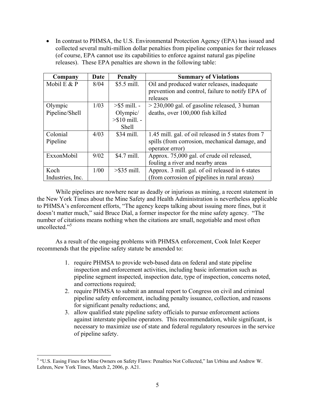• In contrast to PHMSA, the U.S. Environmental Protection Agency (EPA) has issued and collected several multi-million dollar penalties from pipeline companies for their releases (of course, EPA cannot use its capabilities to enforce against natural gas pipeline releases). These EPA penalties are shown in the following table:

| Company          | Date | <b>Penalty</b>  | <b>Summary of Violations</b>                       |
|------------------|------|-----------------|----------------------------------------------------|
| Mobil E $&P$     | 8/04 | \$5.5 mill.     | Oil and produced water releases, inadequate        |
|                  |      |                 | prevention and control, failure to notify EPA of   |
|                  |      |                 | releases                                           |
| Olympic          | 1/03 | $>$ \$5 mill. - | $>$ 230,000 gal. of gasoline released, 3 human     |
| Pipeline/Shell   |      | Olympic/        | deaths, over 100,000 fish killed                   |
|                  |      | $> $10$ mill. - |                                                    |
|                  |      | <b>Shell</b>    |                                                    |
| Colonial         | 4/03 | \$34 mill.      | 1.45 mill. gal. of oil released in 5 states from 7 |
| Pipeline         |      |                 | spills (from corrosion, mechanical damage, and     |
|                  |      |                 | operator error)                                    |
| ExxonMobil       | 9/02 | \$4.7 mill.     | Approx. 75,000 gal. of crude oil released,         |
|                  |      |                 | fouling a river and nearby areas                   |
| Koch             | 1/00 | $>\$ 35 mill.   | Approx. 3 mill. gal. of oil released in 6 states   |
| Industries, Inc. |      |                 | (from corrosion of pipelines in rural areas)       |

While pipelines are nowhere near as deadly or injurious as mining, a recent statement in the New York Times about the Mine Safety and Health Administration is nevertheless applicable to PHMSA's enforcement efforts, "The agency keeps talking about issuing more fines, but it doesn't matter much," said Bruce Dial, a former inspector for the mine safety agency. "The number of citations means nothing when the citations are small, negotiable and most often uncollected<sup>"5</sup>

 As a result of the ongoing problems with PHMSA enforcement, Cook Inlet Keeper recommends that the pipeline safety statute be amended to:

- 1. require PHMSA to provide web-based data on federal and state pipeline inspection and enforcement activities, including basic information such as pipeline segment inspected, inspection date, type of inspection, concerns noted, and corrections required;
- 2. require PHMSA to submit an annual report to Congress on civil and criminal pipeline safety enforcement, including penalty issuance, collection, and reasons for significant penalty reductions; and,
- 3. allow qualified state pipeline safety officials to pursue enforcement actions against interstate pipeline operators. This recommendation, while significant, is necessary to maximize use of state and federal regulatory resources in the service of pipeline safety.

<sup>&</sup>lt;sup>5</sup> "U.S. Easing Fines for Mine Owners on Safety Flaws: Penalties Not Collected," Ian Urbina and Andrew W. Lehren, New York Times, March 2, 2006, p. A21.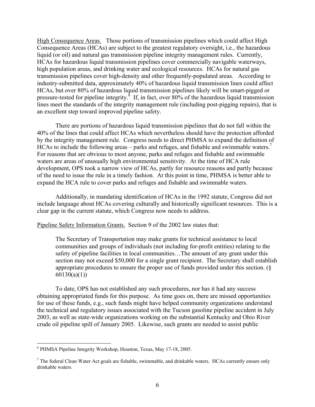High Consequence Areas. Those portions of transmission pipelines which could affect High Consequence Areas (HCAs) are subject to the greatest regulatory oversight, i.e., the hazardous liquid (or oil) and natural gas transmission pipeline integrity management rules. Currently, HCAs for hazardous liquid transmission pipelines cover commercially navigable waterways, high population areas, and drinking water and ecological resources. HCAs for natural gas transmission pipelines cover high-density and other frequently-populated areas. According to industry-submitted data, approximately 40% of hazardous liquid transmission lines could affect HCAs, but over 80% of hazardous liquid transmission pipelines likely will be smart-pigged or pressure-tested for pipeline integrity.<sup> $\dot{6}$ </sup> If, in fact, over 80% of the hazardous liquid transmission lines meet the standards of the integrity management rule (including post-pigging repairs), that is an excellent step toward improved pipeline safety.

 There are portions of hazardous liquid transmission pipelines that do not fall within the 40% of the lines that could affect HCAs which nevertheless should have the protection afforded by the integrity management rule. Congress needs to direct PHMSA to expand the definition of HCAs to include the following areas – parks and refuges, and fishable and swimmable waters.<sup>7</sup> For reasons that are obvious to most anyone, parks and refuges and fishable and swimmable waters are areas of unusually high environmental sensitivity. At the time of HCA rule development, OPS took a narrow view of HCAs, partly for resource reasons and partly because of the need to issue the rule in a timely fashion. At this point in time, PHMSA is better able to expand the HCA rule to cover parks and refuges and fishable and swimmable waters.

 Additionally, in mandating identification of HCAs in the 1992 statute, Congress did not include language about HCAs covering culturally and historically significant resources. This is a clear gap in the current statute, which Congress now needs to address.

Pipeline Safety Information Grants. Section 9 of the 2002 law states that:

The Secretary of Transportation may make grants for technical assistance to local communities and groups of individuals (not including for-profit entities) relating to the safety of pipeline facilities in local communities…The amount of any grant under this section may not exceed \$50,000 for a single grant recipient. The Secretary shall establish appropriate procedures to ensure the proper use of funds provided under this section. (§  $60130(a)(1)$ 

To date, OPS has not established any such procedures, nor has it had any success obtaining appropriated funds for this purpose. As time goes on, there are missed opportunities for use of these funds, e.g., such funds might have helped community organizations understand the technical and regulatory issues associated with the Tucson gasoline pipeline accident in July 2003, as well as state-wide organizations working on the substantial Kentucky and Ohio River crude oil pipeline spill of January 2005. Likewise, such grants are needed to assist public

<sup>6</sup> PHMSA Pipeline Integrity Workshop, Houston, Texas, May 17-18, 2005.

 $<sup>7</sup>$  The federal Clean Water Act goals are fishable, swimmable, and drinkable waters. HCAs currently ensure only</sup> drinkable waters.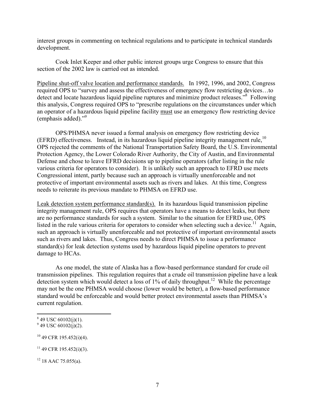interest groups in commenting on technical regulations and to participate in technical standards development.

Cook Inlet Keeper and other public interest groups urge Congress to ensure that this section of the 2002 law is carried out as intended.

Pipeline shut-off valve location and performance standards. In 1992, 1996, and 2002, Congress required OPS to "survey and assess the effectiveness of emergency flow restricting devices…to detect and locate hazardous liquid pipeline ruptures and minimize product releases."<sup>8</sup> Following this analysis, Congress required OPS to "prescribe regulations on the circumstances under which an operator of a hazardous liquid pipeline facility must use an emergency flow restricting device (emphasis added)."9

OPS/PHMSA never issued a formal analysis on emergency flow restricting device (EFRD) effectiveness. Instead, in its hazardous liquid pipeline integrity management rule,<sup>10</sup> OPS rejected the comments of the National Transportation Safety Board, the U.S. Environmental Protection Agency, the Lower Colorado River Authority, the City of Austin, and Environmental Defense and chose to leave EFRD decisions up to pipeline operators (after listing in the rule various criteria for operators to consider). It is unlikely such an approach to EFRD use meets Congressional intent, partly because such an approach is virtually unenforceable and not protective of important environmental assets such as rivers and lakes. At this time, Congress needs to reiterate its previous mandate to PHMSA on EFRD use.

Leak detection system performance standard(s). In its hazardous liquid transmission pipeline integrity management rule, OPS requires that operators have a means to detect leaks, but there are no performance standards for such a system. Similar to the situation for EFRD use, OPS listed in the rule various criteria for operators to consider when selecting such a device.<sup>11</sup> Again, such an approach is virtually unenforceable and not protective of important environmental assets such as rivers and lakes. Thus, Congress needs to direct PHMSA to issue a performance standard(s) for leak detection systems used by hazardous liquid pipeline operators to prevent damage to HCAs.

 As one model, the state of Alaska has a flow-based performance standard for crude oil transmission pipelines. This regulation requires that a crude oil transmission pipeline have a leak detection system which would detect a loss of 1% of daily throughput.<sup>12</sup> While the percentage may not be the one PHMSA would choose (lower would be better), a flow-based performance standard would be enforceable and would better protect environmental assets than PHMSA's current regulation.

 $849$  USC 60102(j)(1).

 $9$  49 USC 60102(j)(2).

 $10$  49 CFR 195.452(i)(4).

 $11$  49 CFR 195.452(i)(3).

 $12$  18 AAC 75.055(a).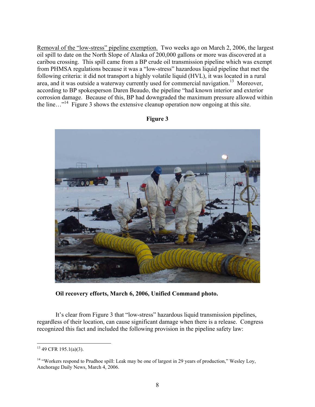Removal of the "low-stress" pipeline exemption. Two weeks ago on March 2, 2006, the largest oil spill to date on the North Slope of Alaska of 200,000 gallons or more was discovered at a caribou crossing. This spill came from a BP crude oil transmission pipeline which was exempt from PHMSA regulations because it was a "low-stress" hazardous liquid pipeline that met the following criteria: it did not transport a highly volatile liquid (HVL), it was located in a rural area, and it was outside a waterway currently used for commercial navigation.<sup>13</sup> Moreover, according to BP spokesperson Daren Beaudo, the pipeline "had known interior and exterior corrosion damage. Because of this, BP had downgraded the maximum pressure allowed within the line…"14 Figure 3 shows the extensive cleanup operation now ongoing at this site.



**Figure 3** 

**Oil recovery efforts, March 6, 2006, Unified Command photo.** 

It's clear from Figure 3 that "low-stress" hazardous liquid transmission pipelines, regardless of their location, can cause significant damage when there is a release. Congress recognized this fact and included the following provision in the pipeline safety law:

 $13$  49 CFR 195.1(a)(3).

<sup>&</sup>lt;sup>14</sup> "Workers respond to Prudhoe spill: Leak may be one of largest in 29 years of production," Wesley Loy, Anchorage Daily News, March 4, 2006.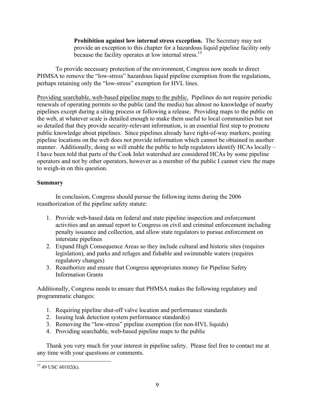**Prohibition against low internal stress exception.** The Secretary may not provide an exception to this chapter for a hazardous liquid pipeline facility only because the facility operates at low internal stress.15

To provide necessary protection of the environment, Congress now needs to direct PHMSA to remove the "low-stress" hazardous liquid pipeline exemption from the regulations, perhaps retaining only the "low-stress" exemption for HVL lines.

Providing searchable, web-based pipeline maps to the public. Pipelines do not require periodic renewals of operating permits so the public (and the media) has almost no knowledge of nearby pipelines except during a siting process or following a release. Providing maps to the public on the web, at whatever scale is detailed enough to make them useful to local communities but not so detailed that they provide security-relevant information, is an essential first step to promote public knowledge about pipelines. Since pipelines already have right-of-way markers, posting pipeline locations on the web does not provide information which cannot be obtained in another manner. Additionally, doing so will enable the public to help regulators identify HCAs locally – I have been told that parts of the Cook Inlet watershed are considered HCAs by some pipeline operators and not by other operators, however as a member of the public I cannot view the maps to weigh-in on this question.

### **Summary**

 In conclusion, Congress should pursue the following items during the 2006 reauthorization of the pipeline safety statute:

- 1. Provide web-based data on federal and state pipeline inspection and enforcement activities and an annual report to Congress on civil and criminal enforcement including penalty issuance and collection, and allow state regulators to pursue enforcement on interstate pipelines
- 2. Expand High Consequence Areas so they include cultural and historic sites (requires legislation), and parks and refuges and fishable and swimmable waters (requires regulatory changes)
- 3. Reauthorize and ensure that Congress appropriates money for Pipeline Safety Information Grants

Additionally, Congress needs to ensure that PHMSA makes the following regulatory and programmatic changes:

- 1. Requiring pipeline shut-off valve location and performance standards
- 2. Issuing leak detection system performance standard(s)
- 3. Removing the "low-stress" pipeline exemption (for non-HVL liquids)
- 4. Providing searchable, web-based pipeline maps to the public

Thank you very much for your interest in pipeline safety. Please feel free to contact me at any time with your questions or comments.

 $\overline{a}$  $15$  49 USC 60102(k).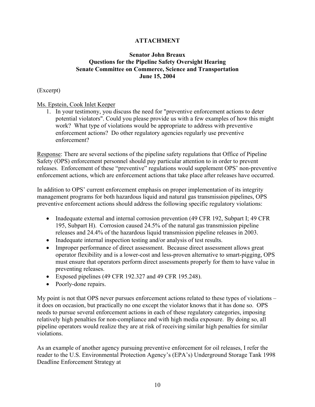### **ATTACHMENT**

### **Senator John Breaux Questions for the Pipeline Safety Oversight Hearing Senate Committee on Commerce, Science and Transportation June 15, 2004**

### (Excerpt)

### Ms. Epstein, Cook Inlet Keeper

1. In your testimony, you discuss the need for "preventive enforcement actions to deter potential violators". Could you please provide us with a few examples of how this might work? What type of violations would be appropriate to address with preventive enforcement actions? Do other regulatory agencies regularly use preventive enforcement?

Response: There are several sections of the pipeline safety regulations that Office of Pipeline Safety (OPS) enforcement personnel should pay particular attention to in order to prevent releases. Enforcement of these "preventive" regulations would supplement OPS' non-preventive enforcement actions, which are enforcement actions that take place after releases have occurred.

In addition to OPS' current enforcement emphasis on proper implementation of its integrity management programs for both hazardous liquid and natural gas transmission pipelines, OPS preventive enforcement actions should address the following specific regulatory violations:

- Inadequate external and internal corrosion prevention (49 CFR 192, Subpart I; 49 CFR 195, Subpart H). Corrosion caused 24.5% of the natural gas transmission pipeline releases and 24.4% of the hazardous liquid transmission pipeline releases in 2003.
- Inadequate internal inspection testing and/or analysis of test results.
- Improper performance of direct assessment. Because direct assessment allows great operator flexibility and is a lower-cost and less-proven alternative to smart-pigging, OPS must ensure that operators perform direct assessments properly for them to have value in preventing releases.
- Exposed pipelines (49 CFR 192.327 and 49 CFR 195.248).
- Poorly-done repairs.

My point is not that OPS never pursues enforcement actions related to these types of violations – it does on occasion, but practically no one except the violator knows that it has done so. OPS needs to pursue several enforcement actions in each of these regulatory categories, imposing relatively high penalties for non-compliance and with high media exposure. By doing so, all pipeline operators would realize they are at risk of receiving similar high penalties for similar violations.

As an example of another agency pursuing preventive enforcement for oil releases, I refer the reader to the U.S. Environmental Protection Agency's (EPA's) Underground Storage Tank 1998 Deadline Enforcement Strategy at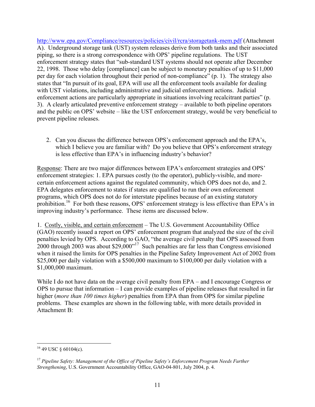http://www.epa.gov/Compliance/resources/policies/civil/rcra/storagetank-mem.pdf (Attachment A). Underground storage tank (UST) system releases derive from both tanks and their associated piping, so there is a strong correspondence with OPS' pipeline regulations. The UST enforcement strategy states that "sub-standard UST systems should not operate after December 22, 1998. Those who delay [compliance] can be subject to monetary penalties of up to \$11,000 per day for each violation throughout their period of non-compliance" (p. 1). The strategy also states that "In pursuit of its goal, EPA will use all the enforcement tools available for dealing with UST violations, including administrative and judicial enforcement actions. Judicial enforcement actions are particularly appropriate in situations involving recalcitrant parties" (p. 3). A clearly articulated preventive enforcement strategy – available to both pipeline operators and the public on OPS' website – like the UST enforcement strategy, would be very beneficial to prevent pipeline releases.

2. Can you discuss the difference between OPS's enforcement approach and the EPA's, which I believe you are familiar with? Do you believe that OPS's enforcement strategy is less effective than EPA's in influencing industry's behavior?

Response: There are two major differences between EPA's enforcement strategies and OPS' enforcement strategies: 1. EPA pursues costly (to the operator), publicly-visible, and morecertain enforcement actions against the regulated community, which OPS does not do, and 2. EPA delegates enforcement to states if states are qualified to run their own enforcement programs, which OPS does not do for interstate pipelines because of an existing statutory prohibition.<sup>16</sup> For both these reasons, OPS' enforcement strategy is less effective than EPA's in improving industry's performance. These items are discussed below.

1. Costly, visible, and certain enforcement – The U.S. Government Accountability Office (GAO) recently issued a report on OPS' enforcement program that analyzed the size of the civil penalties levied by OPS. According to GAO, "the average civil penalty that OPS assessed from 2000 through 2003 was about \$29,000"17 Such penalties are far less than Congress envisioned when it raised the limits for OPS penalties in the Pipeline Safety Improvement Act of 2002 from \$25,000 per daily violation with a \$500,000 maximum to \$100,000 per daily violation with a \$1,000,000 maximum.

While I do not have data on the average civil penalty from EPA – and I encourage Congress or OPS to pursue that information – I can provide examples of pipeline releases that resulted in far higher (*more than 100 times higher*) penalties from EPA than from OPS for similar pipeline problems. These examples are shown in the following table, with more details provided in Attachment B:

<sup>&</sup>lt;u>.</u>  $16$  49 USC § 60104(c).

<sup>&</sup>lt;sup>17</sup> Pipeline Safety: Management of the Office of Pipeline Safety's Enforcement Program Needs Further *Strengthening*, U.S. Government Accountability Office, GAO-04-801, July 2004, p. 4.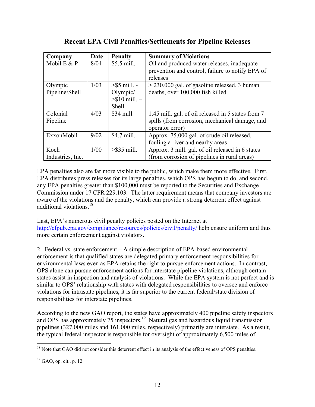### **Recent EPA Civil Penalties/Settlements for Pipeline Releases**

| Company          | Date | <b>Penalty</b>          | <b>Summary of Violations</b>                       |
|------------------|------|-------------------------|----------------------------------------------------|
| Mobil E $&P$     | 8/04 | \$5.5 mill.             | Oil and produced water releases, inadequate        |
|                  |      |                         | prevention and control, failure to notify EPA of   |
|                  |      |                         | releases                                           |
| Olympic          | 1/03 | $>$ \$5 mill. -         | $>$ 230,000 gal. of gasoline released, 3 human     |
| Pipeline/Shell   |      | Olympic/                | deaths, over 100,000 fish killed                   |
|                  |      | $> $10 \text{ mill.} -$ |                                                    |
|                  |      | <b>Shell</b>            |                                                    |
| Colonial         | 4/03 | \$34 mill.              | 1.45 mill. gal. of oil released in 5 states from 7 |
| Pipeline         |      |                         | spills (from corrosion, mechanical damage, and     |
|                  |      |                         | operator error)                                    |
| ExxonMobil       | 9/02 | \$4.7 mill.             | Approx. 75,000 gal. of crude oil released,         |
|                  |      |                         | fouling a river and nearby areas                   |
| Koch             | 1/00 | $>\$ 35 mill.           | Approx. 3 mill. gal. of oil released in 6 states   |
| Industries, Inc. |      |                         | (from corrosion of pipelines in rural areas)       |

EPA penalties also are far more visible to the public, which make them more effective. First, EPA distributes press releases for its large penalties, which OPS has begun to do, and second, any EPA penalties greater than \$100,000 must be reported to the Securities and Exchange Commission under 17 CFR 229.103. The latter requirement means that company investors are aware of the violations and the penalty, which can provide a strong deterrent effect against additional violations<sup>18</sup>

Last, EPA's numerous civil penalty policies posted on the Internet at http://cfpub.epa.gov/compliance/resources/policies/civil/penalty/ help ensure uniform and thus more certain enforcement against violators.

2. Federal vs. state enforcement – A simple description of EPA-based environmental enforcement is that qualified states are delegated primary enforcement responsibilities for environmental laws even as EPA retains the right to pursue enforcement actions. In contrast, OPS alone can pursue enforcement actions for interstate pipeline violations, although certain states assist in inspection and analysis of violations. While the EPA system is not perfect and is similar to OPS' relationship with states with delegated responsibilities to oversee and enforce violations for intrastate pipelines, it is far superior to the current federal/state division of responsibilities for interstate pipelines.

According to the new GAO report, the states have approximately 400 pipeline safety inspectors and OPS has approximately  $75$  inspectors.<sup>19</sup> Natural gas and hazardous liquid transmission pipelines (327,000 miles and 161,000 miles, respectively) primarily are interstate. As a result, the typical federal inspector is responsible for oversight of approximately 6,500 miles of

<u>.</u> <sup>18</sup> Note that GAO did not consider this deterrent effect in its analysis of the effectiveness of OPS penalties.

 $19$  GAO, op. cit., p. 12.